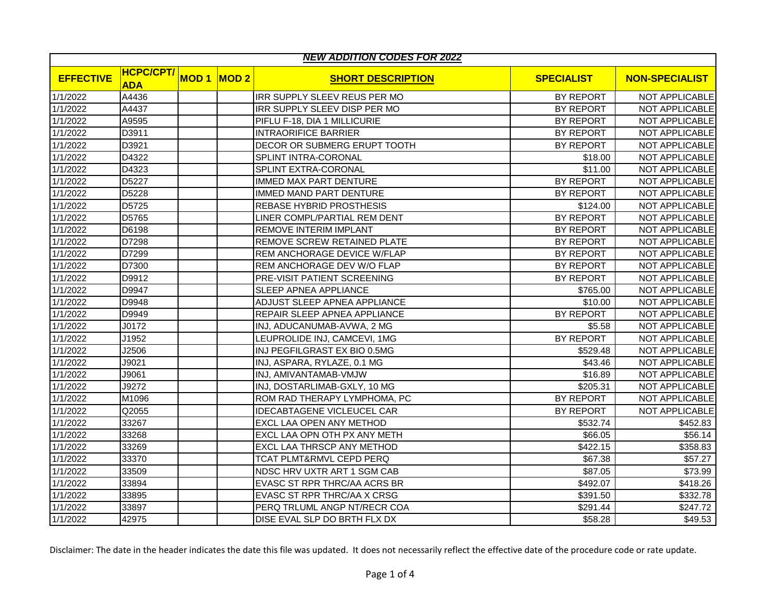| <b>NEW ADDITION CODES FOR 2022</b> |                                |             |      |                                   |                   |                       |  |
|------------------------------------|--------------------------------|-------------|------|-----------------------------------|-------------------|-----------------------|--|
| <b>EFFECTIVE</b>                   | <b>HCPC/CPT/</b><br><b>ADA</b> | <b>MOD1</b> | MOD2 | <b>SHORT DESCRIPTION</b>          | <b>SPECIALIST</b> | <b>NON-SPECIALIST</b> |  |
| 1/1/2022                           | A4436                          |             |      | IRR SUPPLY SLEEV REUS PER MO      | BY REPORT         | NOT APPLICABLE        |  |
| 1/1/2022                           | A4437                          |             |      | IRR SUPPLY SLEEV DISP PER MO      | BY REPORT         | NOT APPLICABLE        |  |
| 1/1/2022                           | A9595                          |             |      | PIFLU F-18, DIA 1 MILLICURIE      | <b>BY REPORT</b>  | NOT APPLICABLE        |  |
| 1/1/2022                           | D3911                          |             |      | <b>INTRAORIFICE BARRIER</b>       | <b>BY REPORT</b>  | NOT APPLICABLE        |  |
| 1/1/2022                           | D3921                          |             |      | DECOR OR SUBMERG ERUPT TOOTH      | BY REPORT         | NOT APPLICABLE        |  |
| 1/1/2022                           | D4322                          |             |      | SPLINT INTRA-CORONAL              | \$18.00           | <b>NOT APPLICABLE</b> |  |
| 1/1/2022                           | D4323                          |             |      | SPLINT EXTRA-CORONAL              | \$11.00           | <b>NOT APPLICABLE</b> |  |
| 1/1/2022                           | D5227                          |             |      | <b>IMMED MAX PART DENTURE</b>     | <b>BY REPORT</b>  | <b>NOT APPLICABLE</b> |  |
| 1/1/2022                           | D5228                          |             |      | IMMED MAND PART DENTURE           | <b>BY REPORT</b>  | NOT APPLICABLE        |  |
| 1/1/2022                           | D <sub>5725</sub>              |             |      | <b>REBASE HYBRID PROSTHESIS</b>   | \$124.00          | NOT APPLICABLE        |  |
| 1/1/2022                           | D <sub>5765</sub>              |             |      | LINER COMPL/PARTIAL REM DENT      | BY REPORT         | NOT APPLICABLE        |  |
| 1/1/2022                           | D6198                          |             |      | <b>REMOVE INTERIM IMPLANT</b>     | <b>BY REPORT</b>  | <b>NOT APPLICABLE</b> |  |
| 1/1/2022                           | D7298                          |             |      | REMOVE SCREW RETAINED PLATE       | BY REPORT         | NOT APPLICABLE        |  |
| 1/1/2022                           | D7299                          |             |      | REM ANCHORAGE DEVICE W/FLAP       | <b>BY REPORT</b>  | NOT APPLICABLE        |  |
| 1/1/2022                           | D7300                          |             |      | REM ANCHORAGE DEV W/O FLAP        | <b>BY REPORT</b>  | <b>NOT APPLICABLE</b> |  |
| 1/1/2022                           | D9912                          |             |      | PRE-VISIT PATIENT SCREENING       | BY REPORT         | <b>NOT APPLICABLE</b> |  |
| 1/1/2022                           | D9947                          |             |      | SLEEP APNEA APPLIANCE             | \$765.00          | NOT APPLICABLE        |  |
| 1/1/2022                           | D9948                          |             |      | ADJUST SLEEP APNEA APPLIANCE      | \$10.00           | NOT APPLICABLE        |  |
| 1/1/2022                           | D9949                          |             |      | REPAIR SLEEP APNEA APPLIANCE      | <b>BY REPORT</b>  | NOT APPLICABLE        |  |
| 1/1/2022                           | J0172                          |             |      | INJ, ADUCANUMAB-AVWA, 2 MG        | \$5.58            | <b>NOT APPLICABLE</b> |  |
| 1/1/2022                           | J1952                          |             |      | LEUPROLIDE INJ, CAMCEVI, 1MG      | BY REPORT         | <b>NOT APPLICABLE</b> |  |
| 1/1/2022                           | J2506                          |             |      | INJ PEGFILGRAST EX BIO 0.5MG      | \$529.48          | NOT APPLICABLE        |  |
| 1/1/2022                           | J9021                          |             |      | INJ, ASPARA, RYLAZE, 0.1 MG       | \$43.46           | NOT APPLICABLE        |  |
| 1/1/2022                           | J9061                          |             |      | INJ, AMIVANTAMAB-VMJW             | \$16.89           | NOT APPLICABLE        |  |
| 1/1/2022                           | J9272                          |             |      | INJ, DOSTARLIMAB-GXLY, 10 MG      | \$205.31          | NOT APPLICABLE        |  |
| 1/1/2022                           | M1096                          |             |      | ROM RAD THERAPY LYMPHOMA, PC      | BY REPORT         | NOT APPLICABLE        |  |
| 1/1/2022                           | Q2055                          |             |      | <b>IDECABTAGENE VICLEUCEL CAR</b> | BY REPORT         | NOT APPLICABLE        |  |
| 1/1/2022                           | 33267                          |             |      | EXCL LAA OPEN ANY METHOD          | \$532.74          | \$452.83              |  |
| 1/1/2022                           | 33268                          |             |      | EXCL LAA OPN OTH PX ANY METH      | \$66.05           | \$56.14               |  |
| 1/1/2022                           | 33269                          |             |      | EXCL LAA THRSCP ANY METHOD        | \$422.15          | \$358.83              |  |
| 1/1/2022                           | 33370                          |             |      | TCAT PLMT&RMVL CEPD PERQ          | \$67.38           | \$57.27               |  |
| 1/1/2022                           | 33509                          |             |      | NDSC HRV UXTR ART 1 SGM CAB       | \$87.05           | \$73.99               |  |
| 1/1/2022                           | 33894                          |             |      | EVASC ST RPR THRC/AA ACRS BR      | \$492.07          | \$418.26              |  |
| 1/1/2022                           | 33895                          |             |      | EVASC ST RPR THRC/AA X CRSG       | \$391.50          | \$332.78              |  |
| 1/1/2022                           | 33897                          |             |      | PERQ TRLUML ANGP NT/RECR COA      | \$291.44          | \$247.72              |  |
| 1/1/2022                           | 42975                          |             |      | DISE EVAL SLP DO BRTH FLX DX      | \$58.28           | \$49.53               |  |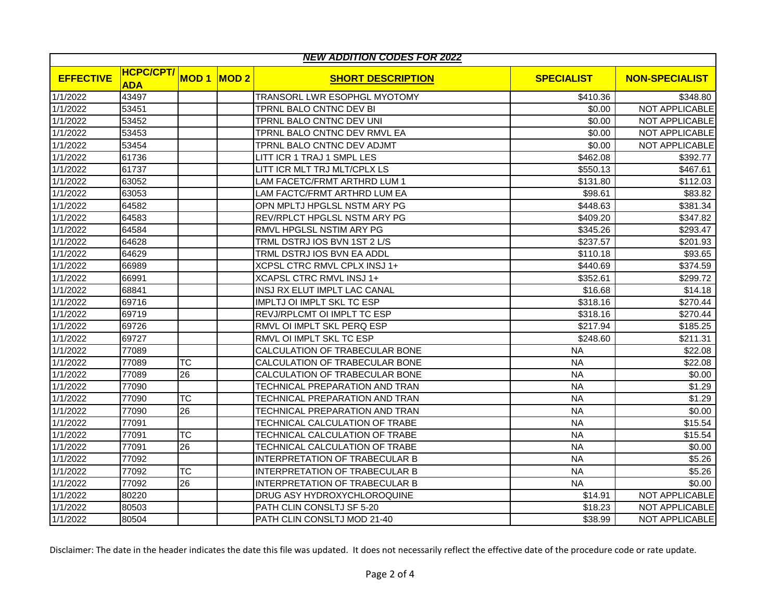| <b>NEW ADDITION CODES FOR 2022</b> |                                |             |      |                                   |                   |                       |  |
|------------------------------------|--------------------------------|-------------|------|-----------------------------------|-------------------|-----------------------|--|
| <b>EFFECTIVE</b>                   | <b>HCPC/CPT/</b><br><b>ADA</b> | <b>MOD1</b> | MOD2 | <b>SHORT DESCRIPTION</b>          | <b>SPECIALIST</b> | <b>NON-SPECIALIST</b> |  |
| 1/1/2022                           | 43497                          |             |      | TRANSORL LWR ESOPHGL MYOTOMY      | \$410.36          | \$348.80              |  |
| 1/1/2022                           | 53451                          |             |      | TPRNL BALO CNTNC DEV BI           | \$0.00            | NOT APPLICABLE        |  |
| 1/1/2022                           | 53452                          |             |      | TPRNL BALO CNTNC DEV UNI          | \$0.00            | NOT APPLICABLE        |  |
| 1/1/2022                           | 53453                          |             |      | TPRNL BALO CNTNC DEV RMVL EA      | \$0.00            | NOT APPLICABLE        |  |
| 1/1/2022                           | 53454                          |             |      | TPRNL BALO CNTNC DEV ADJMT        | \$0.00            | NOT APPLICABLE        |  |
| 1/1/2022                           | 61736                          |             |      | LITT ICR 1 TRAJ 1 SMPL LES        | \$462.08          | \$392.77              |  |
| 1/1/2022                           | 61737                          |             |      | LITT ICR MLT TRJ MLT/CPLX LS      | \$550.13          | \$467.61              |  |
| 1/1/2022                           | 63052                          |             |      | LAM FACETC/FRMT ARTHRD LUM 1      | \$131.80          | \$112.03              |  |
| 1/1/2022                           | 63053                          |             |      | LAM FACTC/FRMT ARTHRD LUM EA      | \$98.61           | \$83.82               |  |
| 1/1/2022                           | 64582                          |             |      | OPN MPLTJ HPGLSL NSTM ARY PG      | \$448.63          | \$381.34              |  |
| 1/1/2022                           | 64583                          |             |      | REV/RPLCT HPGLSL NSTM ARY PG      | \$409.20          | \$347.82              |  |
| 1/1/2022                           | 64584                          |             |      | RMVL HPGLSL NSTIM ARY PG          | \$345.26          | \$293.47              |  |
| 1/1/2022                           | 64628                          |             |      | TRML DSTRJ IOS BVN 1ST 2 L/S      | \$237.57          | \$201.93              |  |
| 1/1/2022                           | 64629                          |             |      | TRML DSTRJ IOS BVN EA ADDL        | \$110.18          | \$93.65               |  |
| 1/1/2022                           | 66989                          |             |      | XCPSL CTRC RMVL CPLX INSJ 1+      | \$440.69          | \$374.59              |  |
| 1/1/2022                           | 66991                          |             |      | XCAPSL CTRC RMVL INSJ 1+          | \$352.61          | \$299.72              |  |
| 1/1/2022                           | 68841                          |             |      | INSJ RX ELUT IMPLT LAC CANAL      | \$16.68           | \$14.18               |  |
| 1/1/2022                           | 69716                          |             |      | <b>IMPLTJ OI IMPLT SKL TC ESP</b> | \$318.16          | \$270.44              |  |
| 1/1/2022                           | 69719                          |             |      | REVJ/RPLCMT OI IMPLT TC ESP       | \$318.16          | \$270.44              |  |
| 1/1/2022                           | 69726                          |             |      | RMVL OI IMPLT SKL PERQ ESP        | \$217.94          | \$185.25              |  |
| 1/1/2022                           | 69727                          |             |      | RMVL OI IMPLT SKL TC ESP          | \$248.60          | \$211.31              |  |
| 1/1/2022                           | 77089                          |             |      | CALCULATION OF TRABECULAR BONE    | <b>NA</b>         | \$22.08               |  |
| 1/1/2022                           | 77089                          | <b>TC</b>   |      | CALCULATION OF TRABECULAR BONE    | <b>NA</b>         | \$22.08               |  |
| 1/1/2022                           | 77089                          | 26          |      | CALCULATION OF TRABECULAR BONE    | <b>NA</b>         | \$0.00                |  |
| 1/1/2022                           | 77090                          |             |      | TECHNICAL PREPARATION AND TRAN    | <b>NA</b>         | \$1.29                |  |
| 1/1/2022                           | 77090                          | <b>TC</b>   |      | TECHNICAL PREPARATION AND TRAN    | <b>NA</b>         | \$1.29                |  |
| 1/1/2022                           | 77090                          | 26          |      | TECHNICAL PREPARATION AND TRAN    | <b>NA</b>         | \$0.00                |  |
| 1/1/2022                           | 77091                          |             |      | TECHNICAL CALCULATION OF TRABE    | <b>NA</b>         | \$15.54               |  |
| 1/1/2022                           | 77091                          | ТC          |      | TECHNICAL CALCULATION OF TRABE    | <b>NA</b>         | \$15.54               |  |
| 1/1/2022                           | 77091                          | 26          |      | TECHNICAL CALCULATION OF TRABE    | <b>NA</b>         | \$0.00                |  |
| 1/1/2022                           | 77092                          |             |      | INTERPRETATION OF TRABECULAR B    | <b>NA</b>         | \$5.26                |  |
| 1/1/2022                           | 77092                          | ТC          |      | INTERPRETATION OF TRABECULAR B    | <b>NA</b>         | \$5.26                |  |
| 1/1/2022                           | 77092                          | 26          |      | INTERPRETATION OF TRABECULAR B    | <b>NA</b>         | \$0.00                |  |
| 1/1/2022                           | 80220                          |             |      | DRUG ASY HYDROXYCHLOROQUINE       | \$14.91           | <b>NOT APPLICABLE</b> |  |
| 1/1/2022                           | 80503                          |             |      | PATH CLIN CONSLTJ SF 5-20         | \$18.23           | NOT APPLICABLE        |  |
| 1/1/2022                           | 80504                          |             |      | PATH CLIN CONSLTJ MOD 21-40       | \$38.99           | <b>NOT APPLICABLE</b> |  |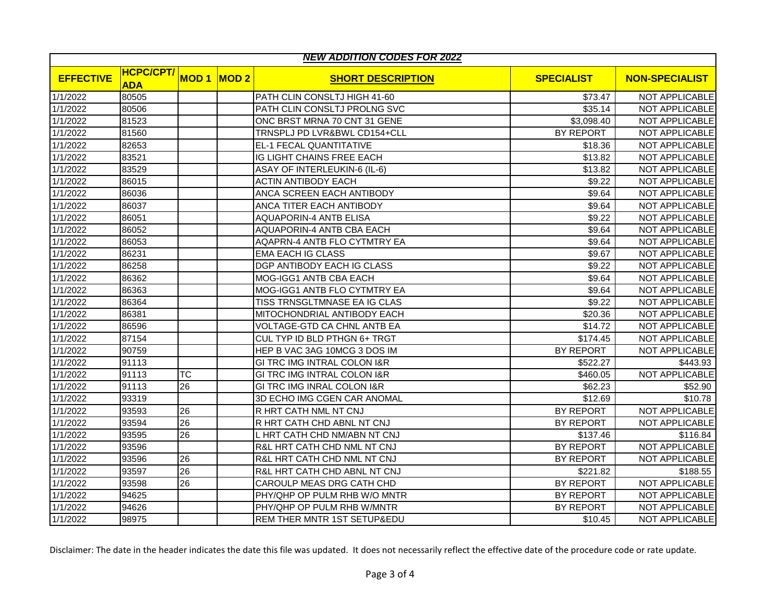| <b>NEW ADDITION CODES FOR 2022</b> |                                |             |             |                                        |                   |                       |  |
|------------------------------------|--------------------------------|-------------|-------------|----------------------------------------|-------------------|-----------------------|--|
| <b>EFFECTIVE</b>                   | <b>HCPC/CPT/</b><br><b>ADA</b> | <b>MOD1</b> | <b>MOD2</b> | <b>SHORT DESCRIPTION</b>               | <b>SPECIALIST</b> | <b>NON-SPECIALIST</b> |  |
| 1/1/2022                           | 80505                          |             |             | PATH CLIN CONSLTJ HIGH 41-60           | \$73.47           | NOT APPLICABLE        |  |
| 1/1/2022                           | 80506                          |             |             | PATH CLIN CONSLTJ PROLNG SVC           | \$35.14           | NOT APPLICABLE        |  |
| 1/1/2022                           | 81523                          |             |             | ONC BRST MRNA 70 CNT 31 GENE           | \$3,098.40        | NOT APPLICABLE        |  |
| 1/1/2022                           | 81560                          |             |             | TRNSPLJ PD LVR&BWL CD154+CLL           | BY REPORT         | NOT APPLICABLE        |  |
| 1/1/2022                           | 82653                          |             |             | EL-1 FECAL QUANTITATIVE                | \$18.36           | NOT APPLICABLE        |  |
| 1/1/2022                           | 83521                          |             |             | IG LIGHT CHAINS FREE EACH              | \$13.82           | <b>NOT APPLICABLE</b> |  |
| 1/1/2022                           | 83529                          |             |             | ASAY OF INTERLEUKIN-6 (IL-6)           | \$13.82           | NOT APPLICABLE        |  |
| 1/1/2022                           | 86015                          |             |             | <b>ACTIN ANTIBODY EACH</b>             | \$9.22            | NOT APPLICABLE        |  |
| 1/1/2022                           | 86036                          |             |             | ANCA SCREEN EACH ANTIBODY              | \$9.64            | <b>NOT APPLICABLE</b> |  |
| 1/1/2022                           | 86037                          |             |             | ANCA TITER EACH ANTIBODY               | \$9.64            | <b>NOT APPLICABLE</b> |  |
| 1/1/2022                           | 86051                          |             |             | <b>AQUAPORIN-4 ANTB ELISA</b>          | \$9.22            | <b>NOT APPLICABLE</b> |  |
| 1/1/2022                           | 86052                          |             |             | AQUAPORIN-4 ANTB CBA EACH              | \$9.64            | NOT APPLICABLE        |  |
| 1/1/2022                           | 86053                          |             |             | AQAPRN-4 ANTB FLO CYTMTRY EA           | \$9.64            | NOT APPLICABLE        |  |
| 1/1/2022                           | 86231                          |             |             | <b>EMA EACH IG CLASS</b>               | \$9.67            | <b>NOT APPLICABLE</b> |  |
| 1/1/2022                           | 86258                          |             |             | DGP ANTIBODY EACH IG CLASS             | \$9.22            | NOT APPLICABLE        |  |
| 1/1/2022                           | 86362                          |             |             | MOG-IGG1 ANTB CBA EACH                 | \$9.64            | NOT APPLICABLE        |  |
| 1/1/2022                           | 86363                          |             |             | MOG-IGG1 ANTB FLO CYTMTRY EA           | \$9.64            | <b>NOT APPLICABLE</b> |  |
| 1/1/2022                           | 86364                          |             |             | TISS TRNSGLTMNASE EA IG CLAS           | \$9.22            | <b>NOT APPLICABLE</b> |  |
| 1/1/2022                           | 86381                          |             |             | MITOCHONDRIAL ANTIBODY EACH            | \$20.36           | NOT APPLICABLE        |  |
| 1/1/2022                           | 86596                          |             |             | VOLTAGE-GTD CA CHNL ANTB EA            | \$14.72           | NOT APPLICABLE        |  |
| 1/1/2022                           | 87154                          |             |             | CUL TYP ID BLD PTHGN 6+ TRGT           | \$174.45          | NOT APPLICABLE        |  |
| 1/1/2022                           | 90759                          |             |             | HEP B VAC 3AG 10MCG 3 DOS IM           | <b>BY REPORT</b>  | NOT APPLICABLE        |  |
| 1/1/2022                           | 91113                          |             |             | GI TRC IMG INTRAL COLON I&R            | \$522.27          | \$443.93              |  |
| 1/1/2022                           | 91113                          | <b>TC</b>   |             | <b>GI TRC IMG INTRAL COLON I&amp;R</b> | \$460.05          | NOT APPLICABLE        |  |
| 1/1/2022                           | 91113                          | 26          |             | GI TRC IMG INRAL COLON I&R             | \$62.23           | \$52.90               |  |
| 1/1/2022                           | 93319                          |             |             | 3D ECHO IMG CGEN CAR ANOMAL            | \$12.69           | \$10.78               |  |
| 1/1/2022                           | 93593                          | 26          |             | R HRT CATH NML NT CNJ                  | <b>BY REPORT</b>  | NOT APPLICABLE        |  |
| 1/1/2022                           | 93594                          | 26          |             | R HRT CATH CHD ABNL NT CNJ             | <b>BY REPORT</b>  | NOT APPLICABLE        |  |
| 1/1/2022                           | 93595                          | 26          |             | L HRT CATH CHD NM/ABN NT CNJ           | \$137.46          | \$116.84              |  |
| 1/1/2022                           | 93596                          |             |             | R&L HRT CATH CHD NML NT CNJ            | BY REPORT         | <b>NOT APPLICABLE</b> |  |
| 1/1/2022                           | 93596                          | 26          |             | R&L HRT CATH CHD NML NT CNJ            | BY REPORT         | NOT APPLICABLE        |  |
| 1/1/2022                           | 93597                          | 26          |             | R&L HRT CATH CHD ABNL NT CNJ           | \$221.82          | \$188.55              |  |
| 1/1/2022                           | 93598                          | 26          |             | CAROULP MEAS DRG CATH CHD              | <b>BY REPORT</b>  | NOT APPLICABLE        |  |
| 1/1/2022                           | 94625                          |             |             | PHY/QHP OP PULM RHB W/O MNTR           | <b>BY REPORT</b>  | <b>NOT APPLICABLE</b> |  |
| 1/1/2022                           | 94626                          |             |             | PHY/QHP OP PULM RHB W/MNTR             | BY REPORT         | NOT APPLICABLE        |  |
| 1/1/2022                           | 98975                          |             |             | REM THER MNTR 1ST SETUP&EDU            | \$10.45           | NOT APPLICABLE        |  |